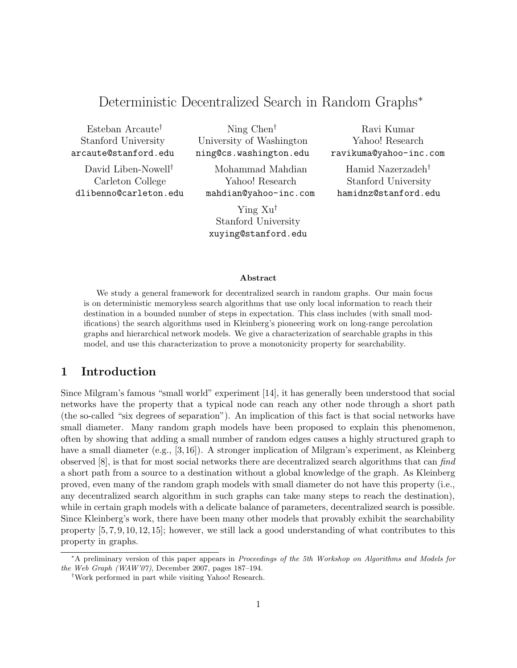# Deterministic Decentralized Search in Random Graphs<sup>∗</sup>

| Esteban Arcaute <sup>†</sup>    | Ning $Chen^{\dagger}$        | Ravi Kumar                          |
|---------------------------------|------------------------------|-------------------------------------|
| Stanford University             | University of Washington     | Yahoo! Research                     |
| arcaute@stanford.edu            | ning@cs.washington.edu       | ravikuma@yahoo-inc.com              |
| David Liben-Nowell <sup>†</sup> | Mohammad Mahdian             | Hamid Nazerzadeh <sup>†</sup>       |
| $\alpha$ 1 $\alpha$ 11          | $\mathbf{v}$ in $\mathbf{v}$ | $\alpha$ $\alpha$ $\alpha$ $\alpha$ |

Carleton College dlibenno@carleton.edu

Yahoo! Research mahdian@yahoo-inc.com

Ying Xu† Stanford University xuying@stanford.edu

Stanford University hamidnz@stanford.edu

#### Abstract

We study a general framework for decentralized search in random graphs. Our main focus is on deterministic memoryless search algorithms that use only local information to reach their destination in a bounded number of steps in expectation. This class includes (with small modifications) the search algorithms used in Kleinberg's pioneering work on long-range percolation graphs and hierarchical network models. We give a characterization of searchable graphs in this model, and use this characterization to prove a monotonicity property for searchability.

# 1 Introduction

Since Milgram's famous "small world" experiment [14], it has generally been understood that social networks have the property that a typical node can reach any other node through a short path (the so-called "six degrees of separation"). An implication of this fact is that social networks have small diameter. Many random graph models have been proposed to explain this phenomenon, often by showing that adding a small number of random edges causes a highly structured graph to have a small diameter (e.g., [3,16]). A stronger implication of Milgram's experiment, as Kleinberg observed  $[8]$ , is that for most social networks there are decentralized search algorithms that can find a short path from a source to a destination without a global knowledge of the graph. As Kleinberg proved, even many of the random graph models with small diameter do not have this property (i.e., any decentralized search algorithm in such graphs can take many steps to reach the destination), while in certain graph models with a delicate balance of parameters, decentralized search is possible. Since Kleinberg's work, there have been many other models that provably exhibit the searchability property [5, 7, 9, 10, 12, 15]; however, we still lack a good understanding of what contributes to this property in graphs.

<sup>∗</sup>A preliminary version of this paper appears in Proceedings of the 5th Workshop on Algorithms and Models for the Web Graph (WAW'07), December 2007, pages 187–194.

<sup>†</sup>Work performed in part while visiting Yahoo! Research.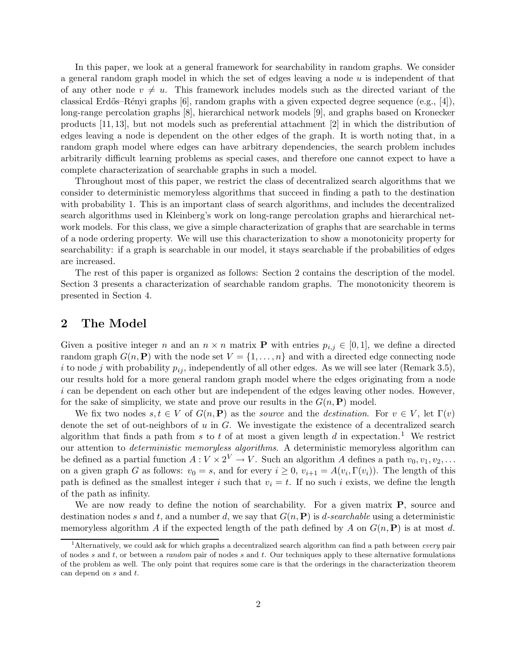In this paper, we look at a general framework for searchability in random graphs. We consider a general random graph model in which the set of edges leaving a node  $u$  is independent of that of any other node  $v \neq u$ . This framework includes models such as the directed variant of the classical Erdős–Rényi graphs  $[6]$ , random graphs with a given expected degree sequence  $(e.g., [4])$ , long-range percolation graphs [8], hierarchical network models [9], and graphs based on Kronecker products [11, 13], but not models such as preferential attachment [2] in which the distribution of edges leaving a node is dependent on the other edges of the graph. It is worth noting that, in a random graph model where edges can have arbitrary dependencies, the search problem includes arbitrarily difficult learning problems as special cases, and therefore one cannot expect to have a complete characterization of searchable graphs in such a model.

Throughout most of this paper, we restrict the class of decentralized search algorithms that we consider to deterministic memoryless algorithms that succeed in finding a path to the destination with probability 1. This is an important class of search algorithms, and includes the decentralized search algorithms used in Kleinberg's work on long-range percolation graphs and hierarchical network models. For this class, we give a simple characterization of graphs that are searchable in terms of a node ordering property. We will use this characterization to show a monotonicity property for searchability: if a graph is searchable in our model, it stays searchable if the probabilities of edges are increased.

The rest of this paper is organized as follows: Section 2 contains the description of the model. Section 3 presents a characterization of searchable random graphs. The monotonicity theorem is presented in Section 4.

# 2 The Model

Given a positive integer n and an  $n \times n$  matrix **P** with entries  $p_{i,j} \in [0,1]$ , we define a directed random graph  $G(n, P)$  with the node set  $V = \{1, \ldots, n\}$  and with a directed edge connecting node i to node j with probability  $p_{ij}$ , independently of all other edges. As we will see later (Remark 3.5), our results hold for a more general random graph model where the edges originating from a node i can be dependent on each other but are independent of the edges leaving other nodes. However, for the sake of simplicity, we state and prove our results in the  $G(n, \mathbf{P})$  model.

We fix two nodes  $s,t \in V$  of  $G(n,\mathbf{P})$  as the source and the destination. For  $v \in V$ , let  $\Gamma(v)$ denote the set of out-neighbors of  $u$  in  $G$ . We investigate the existence of a decentralized search algorithm that finds a path from  $s$  to  $t$  of at most a given length  $d$  in expectation.<sup>1</sup> We restrict our attention to deterministic memoryless algorithms. A deterministic memoryless algorithm can be defined as a partial function  $A: V \times 2^V \to V$ . Such an algorithm A defines a path  $v_0, v_1, v_2, \ldots$ on a given graph G as follows:  $v_0 = s$ , and for every  $i \geq 0$ ,  $v_{i+1} = A(v_i, \Gamma(v_i))$ . The length of this path is defined as the smallest integer i such that  $v_i = t$ . If no such i exists, we define the length of the path as infinity.

We are now ready to define the notion of searchability. For a given matrix  $P$ , source and destination nodes s and t, and a number d, we say that  $G(n, P)$  is d-searchable using a deterministic memoryless algorithm A if the expected length of the path defined by A on  $G(n, \mathbf{P})$  is at most d.

<sup>&</sup>lt;sup>1</sup>Alternatively, we could ask for which graphs a decentralized search algorithm can find a path between *every* pair of nodes s and t, or between a random pair of nodes s and t. Our techniques apply to these alternative formulations of the problem as well. The only point that requires some care is that the orderings in the characterization theorem can depend on s and t.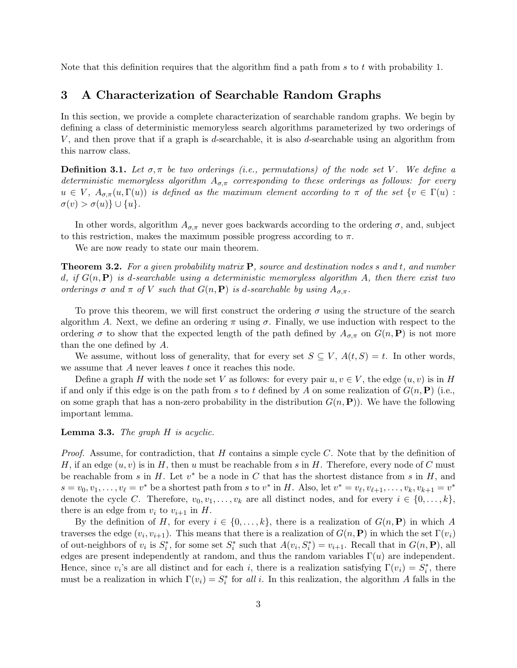Note that this definition requires that the algorithm find a path from s to t with probability 1.

# 3 A Characterization of Searchable Random Graphs

In this section, we provide a complete characterization of searchable random graphs. We begin by defining a class of deterministic memoryless search algorithms parameterized by two orderings of V, and then prove that if a graph is d-searchable, it is also d-searchable using an algorithm from this narrow class.

**Definition 3.1.** Let  $\sigma, \pi$  be two orderings (i.e., permutations) of the node set V. We define a deterministic memoryless algorithm  $A_{\sigma,\pi}$  corresponding to these orderings as follows: for every  $u \in V$ ,  $A_{\sigma,\pi}(u,\Gamma(u))$  is defined as the maximum element according to  $\pi$  of the set  $\{v \in \Gamma(u) :$  $\sigma(v) > \sigma(u)$ }  $\cup \{u\}.$ 

In other words, algorithm  $A_{\sigma,\pi}$  never goes backwards according to the ordering  $\sigma$ , and, subject to this restriction, makes the maximum possible progress according to  $\pi$ .

We are now ready to state our main theorem.

**Theorem 3.2.** For a given probability matrix  $P$ , source and destination nodes s and t, and number d, if  $G(n, \mathbf{P})$  is d-searchable using a deterministic memoryless algorithm A, then there exist two orderings  $\sigma$  and  $\pi$  of V such that  $G(n, \mathbf{P})$  is d-searchable by using  $A_{\sigma,\pi}$ .

To prove this theorem, we will first construct the ordering  $\sigma$  using the structure of the search algorithm A. Next, we define an ordering  $\pi$  using  $\sigma$ . Finally, we use induction with respect to the ordering  $\sigma$  to show that the expected length of the path defined by  $A_{\sigma,\pi}$  on  $G(n,\mathbf{P})$  is not more than the one defined by A.

We assume, without loss of generality, that for every set  $S \subseteq V$ ,  $A(t, S) = t$ . In other words, we assume that A never leaves t once it reaches this node.

Define a graph H with the node set V as follows: for every pair  $u, v \in V$ , the edge  $(u, v)$  is in H if and only if this edge is on the path from s to t defined by A on some realization of  $G(n, \mathbf{P})$  (i.e., on some graph that has a non-zero probability in the distribution  $G(n, P)$ ). We have the following important lemma.

#### **Lemma 3.3.** The graph  $H$  is acyclic.

*Proof.* Assume, for contradiction, that H contains a simple cycle C. Note that by the definition of H, if an edge  $(u, v)$  is in H, then u must be reachable from s in H. Therefore, every node of C must be reachable from s in  $H$ . Let  $v^*$  be a node in  $C$  that has the shortest distance from s in  $H$ , and  $s = v_0, v_1, \ldots, v_\ell = v^*$  be a shortest path from s to  $v^*$  in H. Also, let  $v^* = v_\ell, v_{\ell+1}, \ldots, v_k, v_{k+1} = v^*$ denote the cycle C. Therefore,  $v_0, v_1, \ldots, v_k$  are all distinct nodes, and for every  $i \in \{0, \ldots, k\}$ , there is an edge from  $v_i$  to  $v_{i+1}$  in H.

By the definition of H, for every  $i \in \{0, \ldots, k\}$ , there is a realization of  $G(n, \mathbf{P})$  in which A traverses the edge  $(v_i, v_{i+1})$ . This means that there is a realization of  $G(n, \mathbf{P})$  in which the set  $\Gamma(v_i)$ of out-neighbors of  $v_i$  is  $S_i^*$ , for some set  $S_i^*$  such that  $A(v_i, S_i^*) = v_{i+1}$ . Recall that in  $G(n, \mathbf{P})$ , all edges are present independently at random, and thus the random variables  $\Gamma(u)$  are independent. Hence, since  $v_i$ 's are all distinct and for each i, there is a realization satisfying  $\Gamma(v_i) = S_i^*$ , there must be a realization in which  $\Gamma(v_i) = S_i^*$  for all i. In this realization, the algorithm A falls in the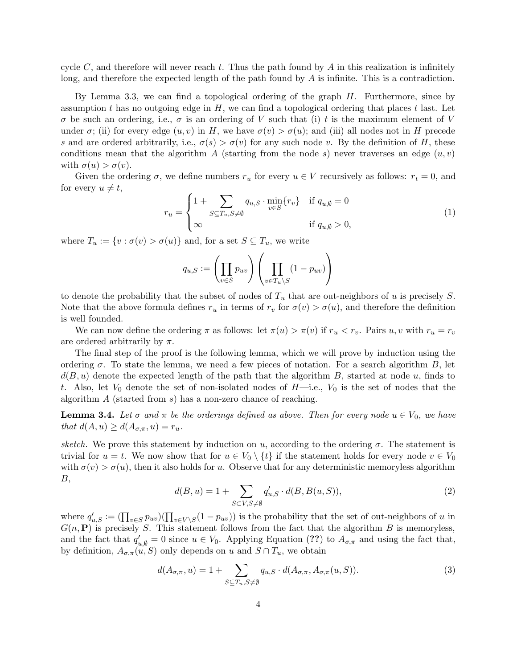cycle C, and therefore will never reach t. Thus the path found by A in this realization is infinitely long, and therefore the expected length of the path found by A is infinite. This is a contradiction.

By Lemma 3.3, we can find a topological ordering of the graph  $H$ . Furthermore, since by assumption t has no outgoing edge in  $H$ , we can find a topological ordering that places t last. Let  $\sigma$  be such an ordering, i.e.,  $\sigma$  is an ordering of V such that (i) t is the maximum element of V under  $\sigma$ ; (ii) for every edge  $(u, v)$  in H, we have  $\sigma(v) > \sigma(u)$ ; and (iii) all nodes not in H precede s and are ordered arbitrarily, i.e.,  $\sigma(s) > \sigma(v)$  for any such node v. By the definition of H, these conditions mean that the algorithm A (starting from the node s) never traverses an edge  $(u, v)$ with  $\sigma(u) > \sigma(v)$ .

Given the ordering  $\sigma$ , we define numbers  $r_u$  for every  $u \in V$  recursively as follows:  $r_t = 0$ , and for every  $u \neq t$ ,

$$
r_u = \begin{cases} 1 + \sum_{S \subseteq T_u, S \neq \emptyset} q_{u,S} \cdot \min_{v \in S} \{r_v\} & \text{if } q_{u,\emptyset} = 0\\ \infty & \text{if } q_{u,\emptyset} > 0, \end{cases}
$$
 (1)

where  $T_u := \{v : \sigma(v) > \sigma(u)\}\$ and, for a set  $S \subseteq T_u$ , we write

$$
q_{u,S} := \left(\prod_{v \in S} p_{uv}\right) \left(\prod_{v \in T_u \setminus S} (1 - p_{uv})\right)
$$

to denote the probability that the subset of nodes of  $T_u$  that are out-neighbors of u is precisely S. Note that the above formula defines  $r_u$  in terms of  $r_v$  for  $\sigma(v) > \sigma(u)$ , and therefore the definition is well founded.

We can now define the ordering  $\pi$  as follows: let  $\pi(u) > \pi(v)$  if  $r_u < r_v$ . Pairs u, v with  $r_u = r_v$ are ordered arbitrarily by  $\pi$ .

The final step of the proof is the following lemma, which we will prove by induction using the ordering  $\sigma$ . To state the lemma, we need a few pieces of notation. For a search algorithm B, let  $d(B, u)$  denote the expected length of the path that the algorithm B, started at node u, finds to t. Also, let  $V_0$  denote the set of non-isolated nodes of  $H$ —i.e.,  $V_0$  is the set of nodes that the algorithm  $A$  (started from  $s$ ) has a non-zero chance of reaching.

**Lemma 3.4.** Let  $\sigma$  and  $\pi$  be the orderings defined as above. Then for every node  $u \in V_0$ , we have that  $d(A, u) \geq d(A_{\sigma,\pi}, u) = r_u$ .

sketch. We prove this statement by induction on u, according to the ordering  $\sigma$ . The statement is trivial for  $u = t$ . We now show that for  $u \in V_0 \setminus \{t\}$  if the statement holds for every node  $v \in V_0$ with  $\sigma(v) > \sigma(u)$ , then it also holds for u. Observe that for any deterministic memoryless algorithm  $B,$ 

$$
d(B, u) = 1 + \sum_{S \subset V, S \neq \emptyset} q'_{u, S} \cdot d(B, B(u, S)),
$$
\n(2)

where  $q'_{u,S} := (\prod_{v \in S} p_{uv})(\prod_{v \in V \setminus S} (1 - p_{uv}))$  is the probability that the set of out-neighbors of u in  $G(n, P)$  is precisely S. This statement follows from the fact that the algorithm B is memoryless, and the fact that  $q'_{u,\emptyset} = 0$  since  $u \in V_0$ . Applying Equation (??) to  $A_{\sigma,\pi}$  and using the fact that, by definition,  $A_{\sigma,\pi}(u, S)$  only depends on u and  $S \cap T_u$ , we obtain

$$
d(A_{\sigma,\pi}, u) = 1 + \sum_{S \subseteq T_u, S \neq \emptyset} q_{u,S} \cdot d(A_{\sigma,\pi}, A_{\sigma,\pi}(u, S)). \tag{3}
$$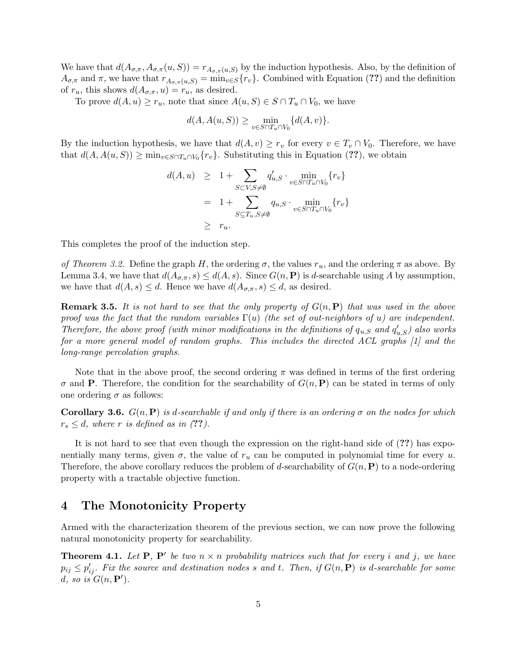We have that  $d(A_{\sigma,\pi}, A_{\sigma,\pi}(u, S)) = r_{A_{\sigma,\pi}(u, S)}$  by the induction hypothesis. Also, by the definition of  $A_{\sigma,\pi}$  and  $\pi$ , we have that  $r_{A_{\sigma,\pi}(u,S)} = \min_{v \in S} \{r_v\}$ . Combined with Equation (??) and the definition of  $r_u$ , this shows  $d(A_{\sigma,\pi}, u) = r_u$ , as desired.

To prove  $d(A, u) \geq r_u$ , note that since  $A(u, S) \in S \cap T_u \cap V_0$ , we have

$$
d(A, A(u, S)) \ge \min_{v \in S \cap T_u \cap V_0} \{d(A, v)\}.
$$

By the induction hypothesis, we have that  $d(A, v) \geq r_v$  for every  $v \in T_v \cap V_0$ . Therefore, we have that  $d(A, A(u, S)) \ge \min_{v \in S \cap T_u \cap V_0} \{r_v\}$ . Substituting this in Equation (??), we obtain

$$
d(A, u) \geq 1 + \sum_{S \subset V, S \neq \emptyset} q'_{u,S} \cdot \min_{v \in S \cap T_u \cap V_0} \{r_v\}
$$
  
= 1 + 
$$
\sum_{S \subseteq T_u, S \neq \emptyset} q_{u,S} \cdot \min_{v \in S \cap T_u \cap V_0} \{r_v\}
$$
  

$$
\geq r_u.
$$

This completes the proof of the induction step.

of Theorem 3.2. Define the graph H, the ordering  $\sigma$ , the values  $r_u$ , and the ordering  $\pi$  as above. By Lemma 3.4, we have that  $d(A_{\sigma,\pi}, s) \leq d(A, s)$ . Since  $G(n, \mathbf{P})$  is d-searchable using A by assumption, we have that  $d(A, s) \leq d$ . Hence we have  $d(A_{\sigma,\pi}, s) \leq d$ , as desired.

**Remark 3.5.** It is not hard to see that the only property of  $G(n, \mathbf{P})$  that was used in the above proof was the fact that the random variables  $\Gamma(u)$  (the set of out-neighbors of u) are independent. Therefore, the above proof (with minor modifications in the definitions of  $q_{u,S}$  and  $q'_{u,S}$ ) also works for a more general model of random graphs. This includes the directed ACL graphs [1] and the long-range percolation graphs.

Note that in the above proof, the second ordering  $\pi$  was defined in terms of the first ordering  $\sigma$  and **P**. Therefore, the condition for the searchability of  $G(n, \mathbf{P})$  can be stated in terms of only one ordering  $\sigma$  as follows:

**Corollary 3.6.**  $G(n, \mathbf{P})$  is d-searchable if and only if there is an ordering  $\sigma$  on the nodes for which  $r_s \leq d$ , where r is defined as in (??).

It is not hard to see that even though the expression on the right-hand side of (??) has exponentially many terms, given  $\sigma$ , the value of  $r_u$  can be computed in polynomial time for every u. Therefore, the above corollary reduces the problem of d-searchability of  $G(n, \mathbf{P})$  to a node-ordering property with a tractable objective function.

# 4 The Monotonicity Property

Armed with the characterization theorem of the previous section, we can now prove the following natural monotonicity property for searchability.

**Theorem 4.1.** Let P, P' be two  $n \times n$  probability matrices such that for every i and j, we have  $p_{ij} \leq p'_{ij}$ . Fix the source and destination nodes s and t. Then, if  $G(n, \mathbf{P})$  is d-searchable for some d, so is  $G(n, \mathbf{P}')$ .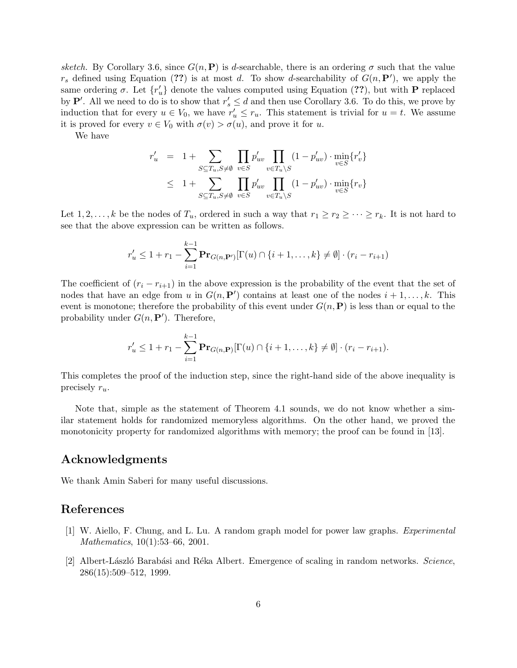sketch. By Corollary 3.6, since  $G(n, \mathbf{P})$  is d-searchable, there is an ordering  $\sigma$  such that the value  $r_s$  defined using Equation (??) is at most d. To show d-searchability of  $G(n, \mathbf{P}')$ , we apply the same ordering  $\sigma$ . Let  $\{r'_u\}$  denote the values computed using Equation (??), but with **P** replaced by  $\mathbf{P}'$ . All we need to do is to show that  $r'_s \leq d$  and then use Corollary 3.6. To do this, we prove by induction that for every  $u \in V_0$ , we have  $r'_u \leq r_u$ . This statement is trivial for  $u = t$ . We assume it is proved for every  $v \in V_0$  with  $\sigma(v) > \sigma(u)$ , and prove it for u.

We have

$$
\begin{array}{lcl} r'_u & = & 1 + \displaystyle \sum_{S \subseteq T_u, S \neq \emptyset} \ \displaystyle \prod_{v \in S} p'_{uv} \prod_{v \in T_u \backslash S} (1-p'_{uv}) \cdot \min_{v \in S} \{r'_v\} \\ \\ & \leq & 1 + \displaystyle \sum_{S \subseteq T_u, S \neq \emptyset} \ \displaystyle \prod_{v \in S} p'_{uv} \prod_{v \in T_u \backslash S} (1-p'_{uv}) \cdot \min_{v \in S} \{r_v\} \end{array}
$$

Let  $1, 2, \ldots, k$  be the nodes of  $T_u$ , ordered in such a way that  $r_1 \geq r_2 \geq \cdots \geq r_k$ . It is not hard to see that the above expression can be written as follows.

$$
r'_{u} \leq 1 + r_{1} - \sum_{i=1}^{k-1} \mathbf{Pr}_{G(n, \mathbf{P}')}[\Gamma(u) \cap \{i+1, \dots, k\} \neq \emptyset] \cdot (r_{i} - r_{i+1})
$$

The coefficient of  $(r_i - r_{i+1})$  in the above expression is the probability of the event that the set of nodes that have an edge from u in  $G(n, \mathbf{P}')$  contains at least one of the nodes  $i + 1, \ldots, k$ . This event is monotone; therefore the probability of this event under  $G(n, \mathbf{P})$  is less than or equal to the probability under  $G(n, \mathbf{P}')$ . Therefore,

$$
r'_{u} \leq 1 + r_{1} - \sum_{i=1}^{k-1} \mathbf{Pr}_{G(n, \mathbf{P})}[\Gamma(u) \cap \{i+1, \dots, k\} \neq \emptyset] \cdot (r_{i} - r_{i+1}).
$$

This completes the proof of the induction step, since the right-hand side of the above inequality is precisely  $r_u$ .

Note that, simple as the statement of Theorem 4.1 sounds, we do not know whether a similar statement holds for randomized memoryless algorithms. On the other hand, we proved the monotonicity property for randomized algorithms with memory; the proof can be found in [13].

# Acknowledgments

We thank Amin Saberi for many useful discussions.

### References

- [1] W. Aiello, F. Chung, and L. Lu. A random graph model for power law graphs. Experimental Mathematics, 10(1):53–66, 2001.
- [2] Albert-László Barabási and Réka Albert. Emergence of scaling in random networks. Science, 286(15):509–512, 1999.